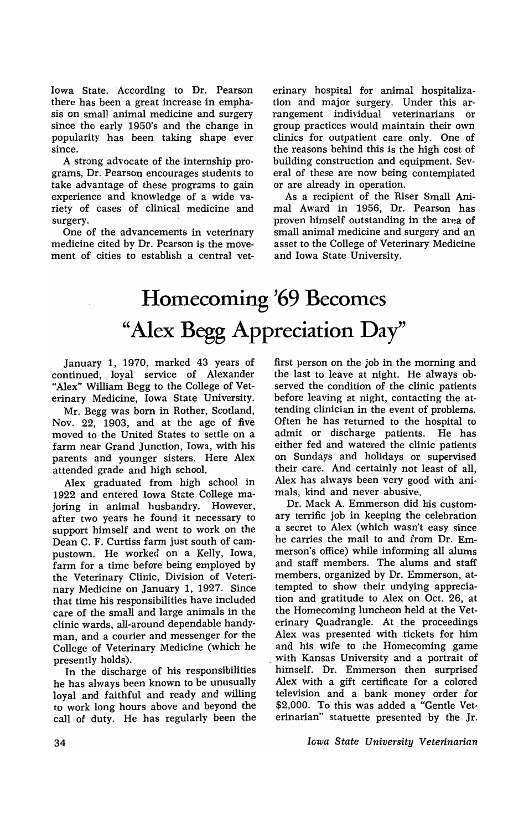Iowa State. According to Dr. Pearson there has been a great increase in emphasis on small animal medicine and surgery since the early 1950's and the change in popularity has been taking shape ever since.

A strong advocate of the internship programs, Dr. Pearson encourages students to take advantage of these programs to gain experience and knowledge of a wide variety of cases of clinical medicine and surgery.

One of the advancements in veterinary medicine cited by Dr. Pearson is the movement of cities to establish a central vet-

erinary hospital for animal hospitalization and major surgery. Under this arrangement individual veterinarians or group practices would maintain their own clinics for outpatient care only. One of the reasons behind this is the high cost of building construction and equipment. Several of these are now being contemplated or are already in operation.

As a recipient of the Riser Small Animal Award in 1956, Dr. Pearson has proven himself outstanding in the area of small animal medicine and surgery and an asset to the College of Veterinary Medicine and Iowa State University.

## **Homecoming '69 Becomes "Alex Begg Appreciation Day"**

january 1, 1970, marked 43 years of continued; loyal service of Alexander "Alex" William Begg to the College of Veterinary Medicine, Iowa State University.

Mr. Begg was born in Rother, Scotland, Nov. 22, 1903, and at the age of five moved to the United States to settle on a farm near Grand junction, Iowa, with his parents and younger sisters. Here Alex attended grade and high school.

. Alex graduated from high school in 1922 and entered Iowa State College majoring in animal husbandry. However, after two years he found it necessary to support himself and went to work on the Dean C. F. Curtiss farm just south of campustown. He worked on a Kelly, Iowa, farm for a time before being employed by the Veterinary Clinic, Division of Veterinary Medicine on january 1, 1927. Since that time his responsibilities have included care of the small and large animals in the clinic wards, all~around dependable handyman, and a courier and messenger for the College of Veterinary Medicine (which he presently holds).

In the discharge of his responsibilities he has always been known to be unusually loyal and faithful and ready and willing to work long hours above and beyond the call of duty. He has regularly been the first person on the job in the morning and the last to leave at night. He always observed the condition of the clinic patients before leaving at night, contacting the attending clinician in the event of problems. Often he has returned to the hospital to admit or discharge patients. He has either fed and watered the clinic patients on Sundays and holidays or supervised their care. And certainly not least of all, Alex has always been very good with animals, kind and never abusive.

Dr. Mack A. Emmerson did his customary terrific job in keeping the celebration a secret to Alex (which wasn't easy since he carries the mail to and from Dr. Emmerson's office) while informing all alums and staff members. The alums and staff members, organized by Dr. Emmerson, attempted to show their undying appreciation and gratitude to Alex on Oct. 26, at the Homecoming luncheon held at the Veterinary Quadrangle. At the proceedings Alex was presented with tickets for him and his wife to the Homecoming game . with Kansas University and a portrait of himself. Dr. Emmerson then surprised Alex with a gift certificate for a colored television and a bank money order for \$2,000. To this was added a "Gentle Veterinarian" statuette presented by the Jr.

*Iowa State University Veterinarian*